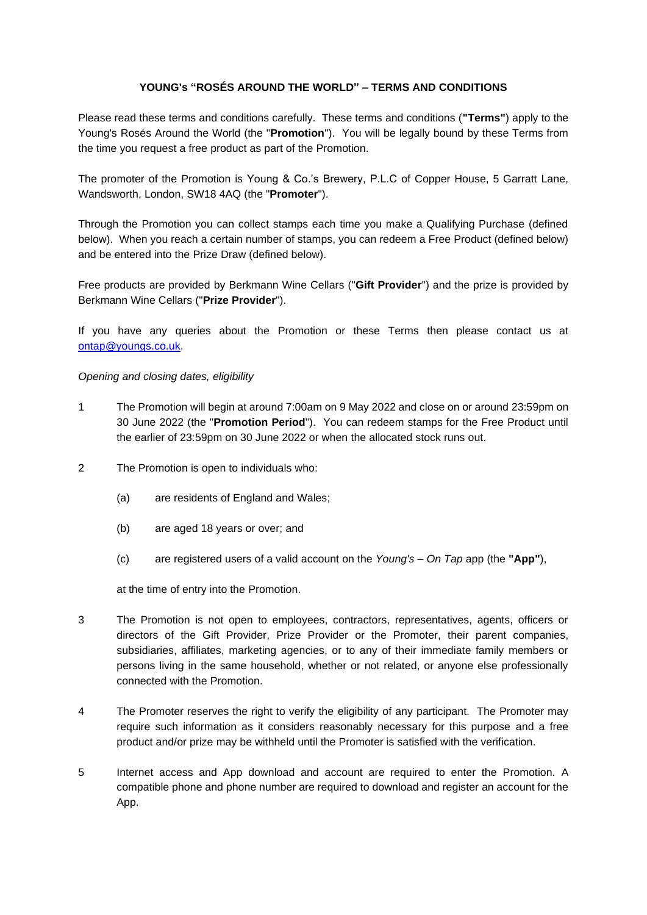# **YOUNG's "ROSÉS AROUND THE WORLD" – TERMS AND CONDITIONS**

Please read these terms and conditions carefully. These terms and conditions (**"Terms"**) apply to the Young's Rosés Around the World (the "**Promotion**"). You will be legally bound by these Terms from the time you request a free product as part of the Promotion.

The promoter of the Promotion is Young & Co.'s Brewery, P.L.C of Copper House, 5 Garratt Lane, Wandsworth, London, SW18 4AQ (the "**Promoter**").

Through the Promotion you can collect stamps each time you make a Qualifying Purchase (defined below). When you reach a certain number of stamps, you can redeem a Free Product (defined below) and be entered into the Prize Draw (defined below).

Free products are provided by Berkmann Wine Cellars ("**Gift Provider**") and the prize is provided by Berkmann Wine Cellars ("**Prize Provider**").

If you have any queries about the Promotion or these Terms then please contact us at ontap@youngs.co.uk.

*Opening and closing dates, eligibility*

- 1 The Promotion will begin at around 7:00am on 9 May 2022 and close on or around 23:59pm on 30 June 2022 (the "**Promotion Period**"). You can redeem stamps for the Free Product until the earlier of 23:59pm on 30 June 2022 or when the allocated stock runs out.
- 2 The Promotion is open to individuals who:
	- (a) are residents of England and Wales;
	- (b) are aged 18 years or over; and
	- (c) are registered users of a valid account on the *Young's – On Tap* app (the **"App"**),

at the time of entry into the Promotion.

- 3 The Promotion is not open to employees, contractors, representatives, agents, officers or directors of the Gift Provider, Prize Provider or the Promoter, their parent companies, subsidiaries, affiliates, marketing agencies, or to any of their immediate family members or persons living in the same household, whether or not related, or anyone else professionally connected with the Promotion.
- 4 The Promoter reserves the right to verify the eligibility of any participant. The Promoter may require such information as it considers reasonably necessary for this purpose and a free product and/or prize may be withheld until the Promoter is satisfied with the verification.
- 5 Internet access and App download and account are required to enter the Promotion. A compatible phone and phone number are required to download and register an account for the App.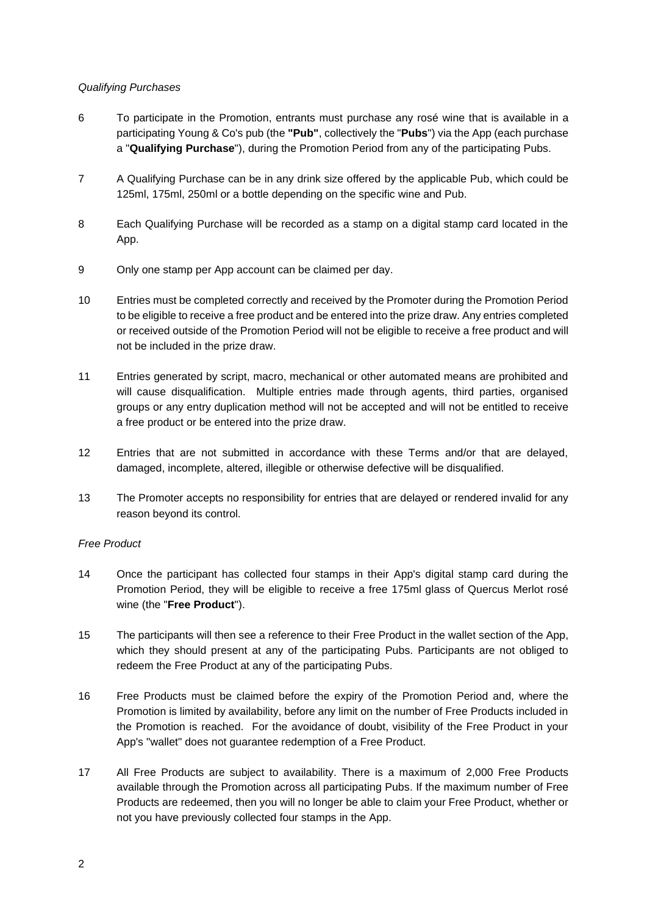# *Qualifying Purchases*

- 6 To participate in the Promotion, entrants must purchase any rosé wine that is available in a participating Young & Co's pub (the **"Pub"**, collectively the "**Pubs**") via the App (each purchase a "**Qualifying Purchase**"), during the Promotion Period from any of the participating Pubs.
- 7 A Qualifying Purchase can be in any drink size offered by the applicable Pub, which could be 125ml, 175ml, 250ml or a bottle depending on the specific wine and Pub.
- 8 Each Qualifying Purchase will be recorded as a stamp on a digital stamp card located in the App.
- 9 Only one stamp per App account can be claimed per day.
- 10 Entries must be completed correctly and received by the Promoter during the Promotion Period to be eligible to receive a free product and be entered into the prize draw. Any entries completed or received outside of the Promotion Period will not be eligible to receive a free product and will not be included in the prize draw.
- 11 Entries generated by script, macro, mechanical or other automated means are prohibited and will cause disqualification. Multiple entries made through agents, third parties, organised groups or any entry duplication method will not be accepted and will not be entitled to receive a free product or be entered into the prize draw.
- 12 Entries that are not submitted in accordance with these Terms and/or that are delayed, damaged, incomplete, altered, illegible or otherwise defective will be disqualified.
- 13 The Promoter accepts no responsibility for entries that are delayed or rendered invalid for any reason beyond its control.

### *Free Product*

- 14 Once the participant has collected four stamps in their App's digital stamp card during the Promotion Period, they will be eligible to receive a free 175ml glass of Quercus Merlot rosé wine (the "**Free Product**").
- 15 The participants will then see a reference to their Free Product in the wallet section of the App, which they should present at any of the participating Pubs. Participants are not obliged to redeem the Free Product at any of the participating Pubs.
- 16 Free Products must be claimed before the expiry of the Promotion Period and, where the Promotion is limited by availability, before any limit on the number of Free Products included in the Promotion is reached. For the avoidance of doubt, visibility of the Free Product in your App's "wallet" does not guarantee redemption of a Free Product.
- 17 All Free Products are subject to availability. There is a maximum of 2,000 Free Products available through the Promotion across all participating Pubs. If the maximum number of Free Products are redeemed, then you will no longer be able to claim your Free Product, whether or not you have previously collected four stamps in the App.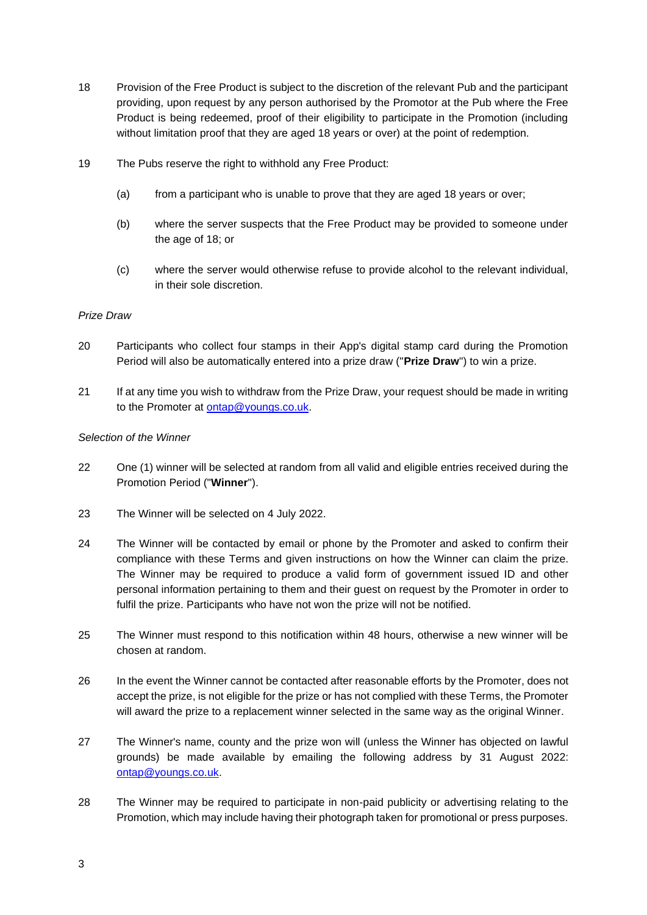- <span id="page-2-0"></span>18 Provision of the Free Product is subject to the discretion of the relevant Pub and the participant providing, upon request by any person authorised by the Promotor at the Pub where the Free Product is being redeemed, proof of their eligibility to participate in the Promotion (including without limitation proof that they are aged 18 years or over) at the point of redemption.
- <span id="page-2-1"></span>19 The Pubs reserve the right to withhold any Free Product:
	- (a) from a participant who is unable to prove that they are aged 18 years or over;
	- (b) where the server suspects that the Free Product may be provided to someone under the age of 18; or
	- (c) where the server would otherwise refuse to provide alcohol to the relevant individual, in their sole discretion.

### *Prize Draw*

- 20 Participants who collect four stamps in their App's digital stamp card during the Promotion Period will also be automatically entered into a prize draw ("**Prize Draw**") to win a prize.
- 21 If at any time you wish to withdraw from the Prize Draw, your request should be made in writing to the Promoter at [ontap@youngs.co.uk.](mailto:ontap@youngs.co.uk)

#### *Selection of the Winner*

- 22 One (1) winner will be selected at random from all valid and eligible entries received during the Promotion Period ("**Winner**").
- 23 The Winner will be selected on 4 July 2022.
- 24 The Winner will be contacted by email or phone by the Promoter and asked to confirm their compliance with these Terms and given instructions on how the Winner can claim the prize. The Winner may be required to produce a valid form of government issued ID and other personal information pertaining to them and their guest on request by the Promoter in order to fulfil the prize. Participants who have not won the prize will not be notified.
- 25 The Winner must respond to this notification within 48 hours, otherwise a new winner will be chosen at random.
- 26 In the event the Winner cannot be contacted after reasonable efforts by the Promoter, does not accept the prize, is not eligible for the prize or has not complied with these Terms, the Promoter will award the prize to a replacement winner selected in the same way as the original Winner.
- 27 The Winner's name, county and the prize won will (unless the Winner has objected on lawful grounds) be made available by emailing the following address by 31 August 2022: [ontap@youngs.co.uk.](mailto:ontap@youngs.co.uk)
- 28 The Winner may be required to participate in non-paid publicity or advertising relating to the Promotion, which may include having their photograph taken for promotional or press purposes.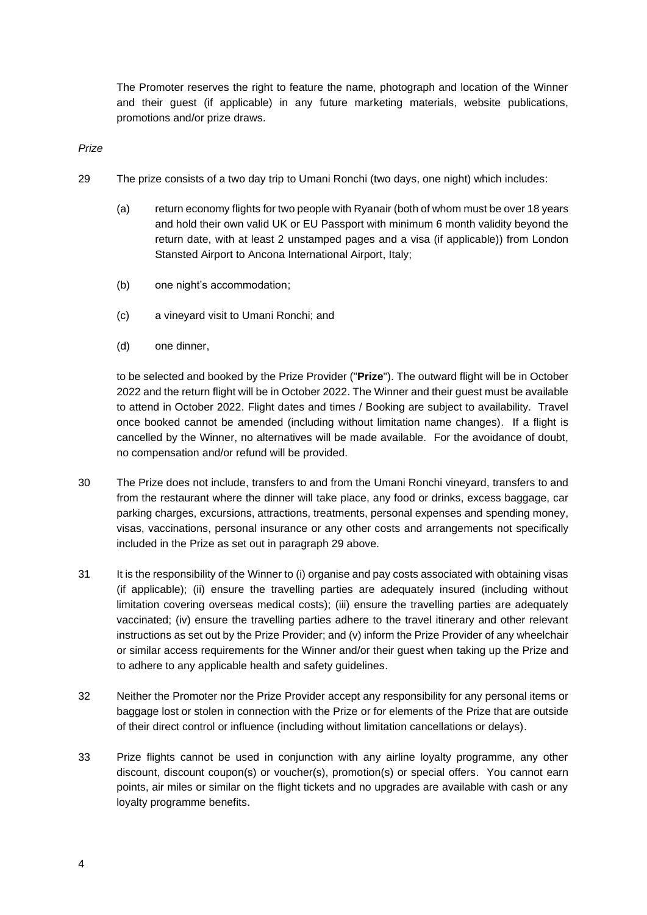The Promoter reserves the right to feature the name, photograph and location of the Winner and their guest (if applicable) in any future marketing materials, website publications, promotions and/or prize draws.

*Prize*

- <span id="page-3-0"></span>29 The prize consists of a two day trip to Umani Ronchi (two days, one night) which includes:
	- (a) return economy flights for two people with Ryanair (both of whom must be over 18 years and hold their own valid UK or EU Passport with minimum 6 month validity beyond the return date, with at least 2 unstamped pages and a visa (if applicable)) from London Stansted Airport to Ancona International Airport, Italy;
	- (b) one night's accommodation;
	- (c) a vineyard visit to Umani Ronchi; and
	- (d) one dinner,

to be selected and booked by the Prize Provider ("**Prize**"). The outward flight will be in October 2022 and the return flight will be in October 2022. The Winner and their guest must be available to attend in October 2022. Flight dates and times / Booking are subject to availability. Travel once booked cannot be amended (including without limitation name changes). If a flight is cancelled by the Winner, no alternatives will be made available. For the avoidance of doubt, no compensation and/or refund will be provided.

- 30 The Prize does not include, transfers to and from the Umani Ronchi vineyard, transfers to and from the restaurant where the dinner will take place, any food or drinks, excess baggage, car parking charges, excursions, attractions, treatments, personal expenses and spending money, visas, vaccinations, personal insurance or any other costs and arrangements not specifically included in the Prize as set out in paragraph [29](#page-3-0) above.
- 31 It is the responsibility of the Winner to (i) organise and pay costs associated with obtaining visas (if applicable); (ii) ensure the travelling parties are adequately insured (including without limitation covering overseas medical costs); (iii) ensure the travelling parties are adequately vaccinated; (iv) ensure the travelling parties adhere to the travel itinerary and other relevant instructions as set out by the Prize Provider; and (v) inform the Prize Provider of any wheelchair or similar access requirements for the Winner and/or their guest when taking up the Prize and to adhere to any applicable health and safety guidelines.
- 32 Neither the Promoter nor the Prize Provider accept any responsibility for any personal items or baggage lost or stolen in connection with the Prize or for elements of the Prize that are outside of their direct control or influence (including without limitation cancellations or delays).
- 33 Prize flights cannot be used in conjunction with any airline loyalty programme, any other discount, discount coupon(s) or voucher(s), promotion(s) or special offers. You cannot earn points, air miles or similar on the flight tickets and no upgrades are available with cash or any loyalty programme benefits.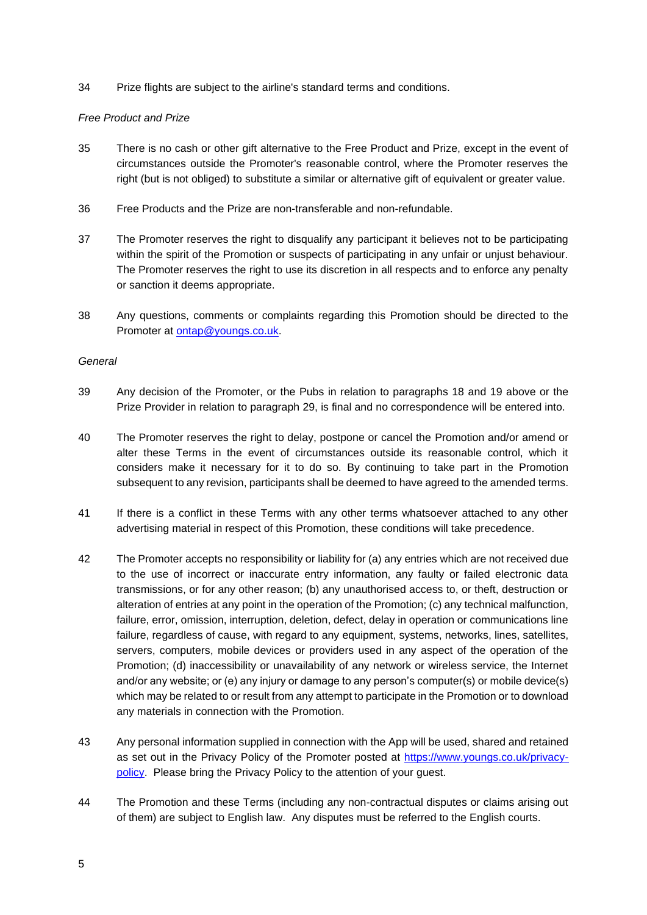34 Prize flights are subject to the airline's standard terms and conditions.

### *Free Product and Prize*

- 35 There is no cash or other gift alternative to the Free Product and Prize, except in the event of circumstances outside the Promoter's reasonable control, where the Promoter reserves the right (but is not obliged) to substitute a similar or alternative gift of equivalent or greater value.
- 36 Free Products and the Prize are non-transferable and non-refundable.
- 37 The Promoter reserves the right to disqualify any participant it believes not to be participating within the spirit of the Promotion or suspects of participating in any unfair or unjust behaviour. The Promoter reserves the right to use its discretion in all respects and to enforce any penalty or sanction it deems appropriate.
- 38 Any questions, comments or complaints regarding this Promotion should be directed to the Promoter at [ontap@youngs.co.uk.](mailto:ontap@youngs.co.uk)

### *General*

- 39 Any decision of the Promoter, or the Pubs in relation to paragraphs [18](#page-2-0) and [19](#page-2-1) above or the Prize Provider in relation to paragraph [29,](#page-3-0) is final and no correspondence will be entered into.
- 40 The Promoter reserves the right to delay, postpone or cancel the Promotion and/or amend or alter these Terms in the event of circumstances outside its reasonable control, which it considers make it necessary for it to do so. By continuing to take part in the Promotion subsequent to any revision, participants shall be deemed to have agreed to the amended terms.
- 41 If there is a conflict in these Terms with any other terms whatsoever attached to any other advertising material in respect of this Promotion, these conditions will take precedence.
- 42 The Promoter accepts no responsibility or liability for (a) any entries which are not received due to the use of incorrect or inaccurate entry information, any faulty or failed electronic data transmissions, or for any other reason; (b) any unauthorised access to, or theft, destruction or alteration of entries at any point in the operation of the Promotion; (c) any technical malfunction, failure, error, omission, interruption, deletion, defect, delay in operation or communications line failure, regardless of cause, with regard to any equipment, systems, networks, lines, satellites, servers, computers, mobile devices or providers used in any aspect of the operation of the Promotion; (d) inaccessibility or unavailability of any network or wireless service, the Internet and/or any website; or (e) any injury or damage to any person's computer(s) or mobile device(s) which may be related to or result from any attempt to participate in the Promotion or to download any materials in connection with the Promotion.
- 43 Any personal information supplied in connection with the App will be used, shared and retained as set out in the Privacy Policy of the Promoter posted at [https://www.youngs.co.uk/privacy](https://www.youngs.co.uk/privacy-policy)[policy.](https://www.youngs.co.uk/privacy-policy) Please bring the Privacy Policy to the attention of your guest.
- 44 The Promotion and these Terms (including any non-contractual disputes or claims arising out of them) are subject to English law. Any disputes must be referred to the English courts.